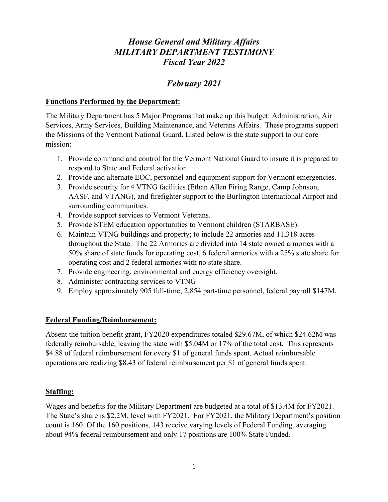# *House General and Military Affairs MILITARY DEPARTMENT TESTIMONY Fiscal Year 2022*

# *February 2021*

#### **Functions Performed by the Department:**

The Military Department has 5 Major Programs that make up this budget: Administration, Air Services, Army Services, Building Maintenance, and Veterans Affairs. These programs support the Missions of the Vermont National Guard. Listed below is the state support to our core mission:

- 1. Provide command and control for the Vermont National Guard to insure it is prepared to respond to State and Federal activation.
- 2. Provide and alternate EOC, personnel and equipment support for Vermont emergencies.
- 3. Provide security for 4 VTNG facilities (Ethan Allen Firing Range, Camp Johnson, AASF, and VTANG), and firefighter support to the Burlington International Airport and surrounding communities.
- 4. Provide support services to Vermont Veterans.
- 5. Provide STEM education opportunities to Vermont children (STARBASE).
- 6. Maintain VTNG buildings and property; to include 22 armories and 11,318 acres throughout the State. The 22 Armories are divided into 14 state owned armories with a 50% share of state funds for operating cost, 6 federal armories with a 25% state share for operating cost and 2 federal armories with no state share.
- 7. Provide engineering, environmental and energy efficiency oversight.
- 8. Administer contracting services to VTNG
- 9. Employ approximately 905 full-time; 2,854 part-time personnel, federal payroll \$147M.

#### **Federal Funding/Reimbursement:**

Absent the tuition benefit grant, FY2020 expenditures totaled \$29.67M, of which \$24.62M was federally reimbursable, leaving the state with \$5.04M or 17% of the total cost. This represents \$4.88 of federal reimbursement for every \$1 of general funds spent. Actual reimbursable operations are realizing \$8.43 of federal reimbursement per \$1 of general funds spent.

#### **Staffing:**

Wages and benefits for the Military Department are budgeted at a total of \$13.4M for FY2021. The State's share is \$2.2M, level with FY2021. For FY2021, the Military Department's position count is 160. Of the 160 positions, 143 receive varying levels of Federal Funding, averaging about 94% federal reimbursement and only 17 positions are 100% State Funded.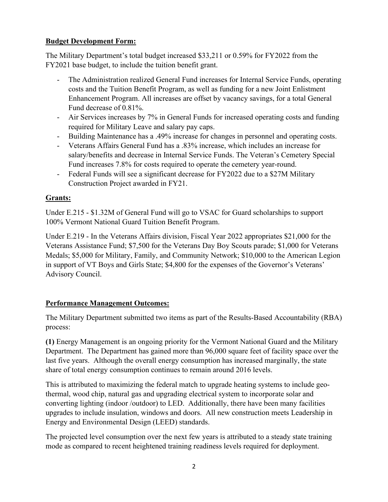# **Budget Development Form:**

The Military Department's total budget increased \$33,211 or 0.59% for FY2022 from the FY2021 base budget, to include the tuition benefit grant.

- The Administration realized General Fund increases for Internal Service Funds, operating costs and the Tuition Benefit Program, as well as funding for a new Joint Enlistment Enhancement Program. All increases are offset by vacancy savings, for a total General Fund decrease of 0.81%.
- Air Services increases by 7% in General Funds for increased operating costs and funding required for Military Leave and salary pay caps.
- Building Maintenance has a .49% increase for changes in personnel and operating costs.
- Veterans Affairs General Fund has a .83% increase, which includes an increase for salary/benefits and decrease in Internal Service Funds. The Veteran's Cemetery Special Fund increases 7.8% for costs required to operate the cemetery year-round.
- Federal Funds will see a significant decrease for FY2022 due to a \$27M Military Construction Project awarded in FY21.

### **Grants:**

Under E.215 - \$1.32M of General Fund will go to VSAC for Guard scholarships to support 100% Vermont National Guard Tuition Benefit Program.

Under E.219 - In the Veterans Affairs division, Fiscal Year 2022 appropriates \$21,000 for the Veterans Assistance Fund; \$7,500 for the Veterans Day Boy Scouts parade; \$1,000 for Veterans Medals; \$5,000 for Military, Family, and Community Network; \$10,000 to the American Legion in support of VT Boys and Girls State; \$4,800 for the expenses of the Governor's Veterans' Advisory Council.

# **Performance Management Outcomes:**

The Military Department submitted two items as part of the Results-Based Accountability (RBA) process:

**(1)** Energy Management is an ongoing priority for the Vermont National Guard and the Military Department. The Department has gained more than 96,000 square feet of facility space over the last five years. Although the overall energy consumption has increased marginally, the state share of total energy consumption continues to remain around 2016 levels.

This is attributed to maximizing the federal match to upgrade heating systems to include geothermal, wood chip, natural gas and upgrading electrical system to incorporate solar and converting lighting (indoor /outdoor) to LED. Additionally, there have been many facilities upgrades to include insulation, windows and doors. All new construction meets Leadership in Energy and Environmental Design (LEED) standards.

The projected level consumption over the next few years is attributed to a steady state training mode as compared to recent heightened training readiness levels required for deployment.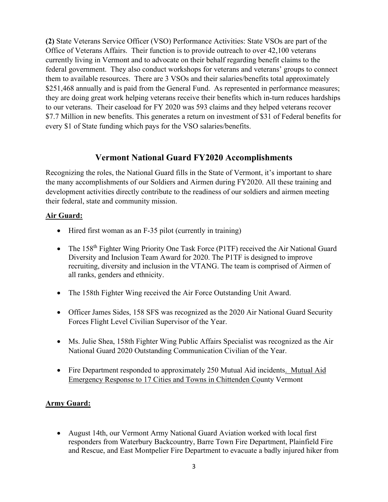**(2)** State Veterans Service Officer (VSO) Performance Activities: State VSOs are part of the Office of Veterans Affairs. Their function is to provide outreach to over 42,100 veterans currently living in Vermont and to advocate on their behalf regarding benefit claims to the federal government. They also conduct workshops for veterans and veterans' groups to connect them to available resources. There are 3 VSOs and their salaries/benefits total approximately \$251,468 annually and is paid from the General Fund. As represented in performance measures; they are doing great work helping veterans receive their benefits which in-turn reduces hardships to our veterans. Their caseload for FY 2020 was 593 claims and they helped veterans recover \$7.7 Million in new benefits. This generates a return on investment of \$31 of Federal benefits for every \$1 of State funding which pays for the VSO salaries/benefits.

# **Vermont National Guard FY2020 Accomplishments**

Recognizing the roles, the National Guard fills in the State of Vermont, it's important to share the many accomplishments of our Soldiers and Airmen during FY2020. All these training and development activities directly contribute to the readiness of our soldiers and airmen meeting their federal, state and community mission.

### **Air Guard:**

- Hired first woman as an F-35 pilot (currently in training)
- The 158<sup>th</sup> Fighter Wing Priority One Task Force (P1TF) received the Air National Guard Diversity and Inclusion Team Award for 2020. The P1TF is designed to improve recruiting, diversity and inclusion in the VTANG. The team is comprised of Airmen of all ranks, genders and ethnicity.
- The 158th Fighter Wing received the Air Force Outstanding Unit Award.
- Officer James Sides, 158 SFS was recognized as the 2020 Air National Guard Security Forces Flight Level Civilian Supervisor of the Year.
- Ms. Julie Shea, 158th Fighter Wing Public Affairs Specialist was recognized as the Air National Guard 2020 Outstanding Communication Civilian of the Year.
- Fire Department responded to approximately 250 Mutual Aid incidents. Mutual Aid Emergency Response to 17 Cities and Towns in Chittenden County Vermont

# **Army Guard:**

• August 14th, our Vermont Army National Guard Aviation worked with local first responders from Waterbury Backcountry, Barre Town Fire Department, Plainfield Fire and Rescue, and East Montpelier Fire Department to evacuate a badly injured hiker from